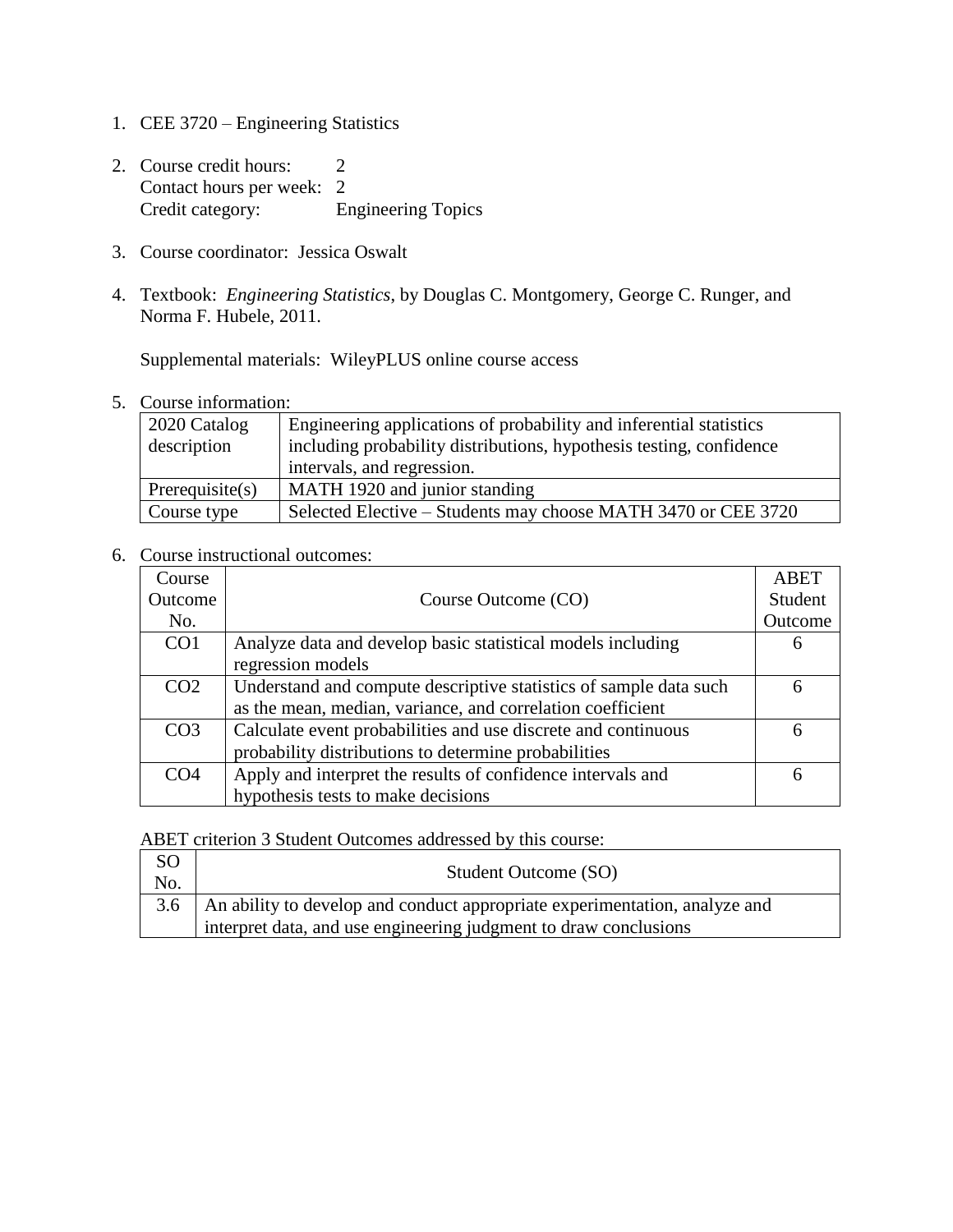- 1. CEE 3720 Engineering Statistics
- 2. Course credit hours: 2 Contact hours per week: 2 Credit category: Engineering Topics
- 3. Course coordinator: Jessica Oswalt
- 4. Textbook: *Engineering Statistics*, by Douglas C. Montgomery, George C. Runger, and Norma F. Hubele, 2011.

Supplemental materials: WileyPLUS online course access

5. Course information:

| 2020 Catalog    | Engineering applications of probability and inferential statistics  |
|-----------------|---------------------------------------------------------------------|
| description     | including probability distributions, hypothesis testing, confidence |
|                 | intervals, and regression.                                          |
| Prerequisite(s) | MATH 1920 and junior standing                                       |
| Course type     | Selected Elective – Students may choose MATH 3470 or CEE 3720       |

## 6. Course instructional outcomes:

| Course          |                                                                   | <b>ABET</b>   |
|-----------------|-------------------------------------------------------------------|---------------|
| Outcome         | Course Outcome (CO)                                               | Student       |
| No.             |                                                                   | Outcome       |
| CO <sub>1</sub> | Analyze data and develop basic statistical models including       | $\mathfrak b$ |
|                 | regression models                                                 |               |
| CO <sub>2</sub> | Understand and compute descriptive statistics of sample data such | 6             |
|                 | as the mean, median, variance, and correlation coefficient        |               |
| CO <sub>3</sub> | Calculate event probabilities and use discrete and continuous     | 6             |
|                 | probability distributions to determine probabilities              |               |
| CO <sub>4</sub> | Apply and interpret the results of confidence intervals and       | 6             |
|                 | hypothesis tests to make decisions                                |               |

ABET criterion 3 Student Outcomes addressed by this course:

| <sub>SO</sub><br>No. | Student Outcome (SO)                                                           |
|----------------------|--------------------------------------------------------------------------------|
|                      | 3.6 An ability to develop and conduct appropriate experimentation, analyze and |
|                      | interpret data, and use engineering judgment to draw conclusions               |